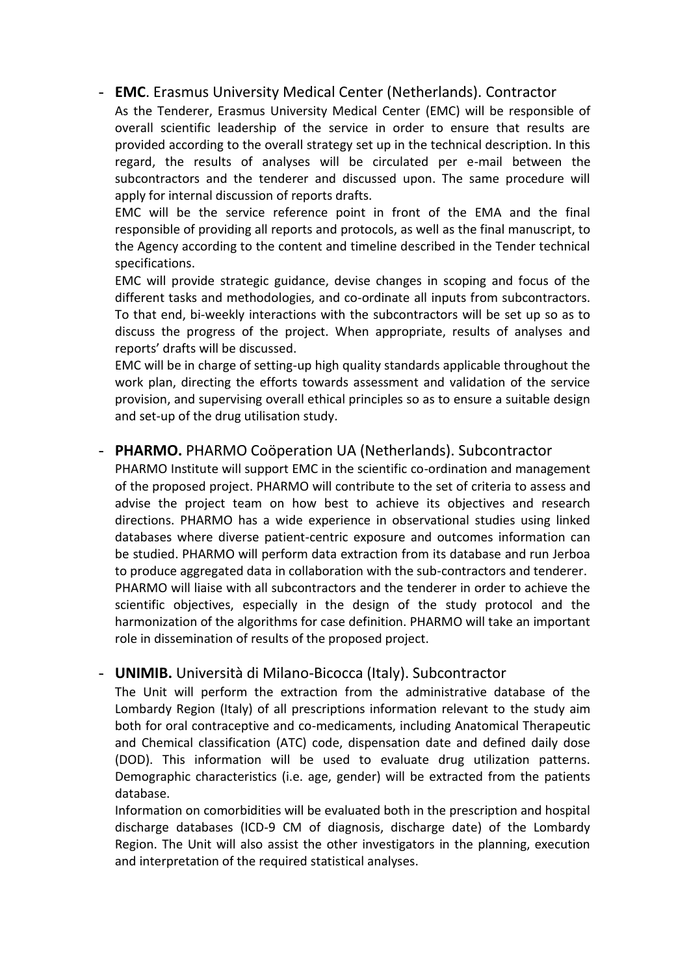## - **EMC**. Erasmus University Medical Center (Netherlands). Contractor

As the Tenderer, Erasmus University Medical Center (EMC) will be responsible of overall scientific leadership of the service in order to ensure that results are provided according to the overall strategy set up in the technical description. In this regard, the results of analyses will be circulated per e-mail between the subcontractors and the tenderer and discussed upon. The same procedure will apply for internal discussion of reports drafts.

EMC will be the service reference point in front of the EMA and the final responsible of providing all reports and protocols, as well as the final manuscript, to the Agency according to the content and timeline described in the Tender technical specifications.

EMC will provide strategic guidance, devise changes in scoping and focus of the different tasks and methodologies, and co-ordinate all inputs from subcontractors. To that end, bi-weekly interactions with the subcontractors will be set up so as to discuss the progress of the project. When appropriate, results of analyses and reports' drafts will be discussed.

EMC will be in charge of setting-up high quality standards applicable throughout the work plan, directing the efforts towards assessment and validation of the service provision, and supervising overall ethical principles so as to ensure a suitable design and set-up of the drug utilisation study.

## - **PHARMO.** PHARMO Coöperation UA (Netherlands). Subcontractor

PHARMO Institute will support EMC in the scientific co-ordination and management of the proposed project. PHARMO will contribute to the set of criteria to assess and advise the project team on how best to achieve its objectives and research directions. PHARMO has a wide experience in observational studies using linked databases where diverse patient-centric exposure and outcomes information can be studied. PHARMO will perform data extraction from its database and run Jerboa to produce aggregated data in collaboration with the sub-contractors and tenderer. PHARMO will liaise with all subcontractors and the tenderer in order to achieve the scientific objectives, especially in the design of the study protocol and the harmonization of the algorithms for case definition. PHARMO will take an important role in dissemination of results of the proposed project.

## - **UNIMIB.** Università di Milano-Bicocca (Italy). Subcontractor

The Unit will perform the extraction from the administrative database of the Lombardy Region (Italy) of all prescriptions information relevant to the study aim both for oral contraceptive and co-medicaments, including Anatomical Therapeutic and Chemical classification (ATC) code, dispensation date and defined daily dose (DOD). This information will be used to evaluate drug utilization patterns. Demographic characteristics (i.e. age, gender) will be extracted from the patients database.

Information on comorbidities will be evaluated both in the prescription and hospital discharge databases (ICD-9 CM of diagnosis, discharge date) of the Lombardy Region. The Unit will also assist the other investigators in the planning, execution and interpretation of the required statistical analyses.